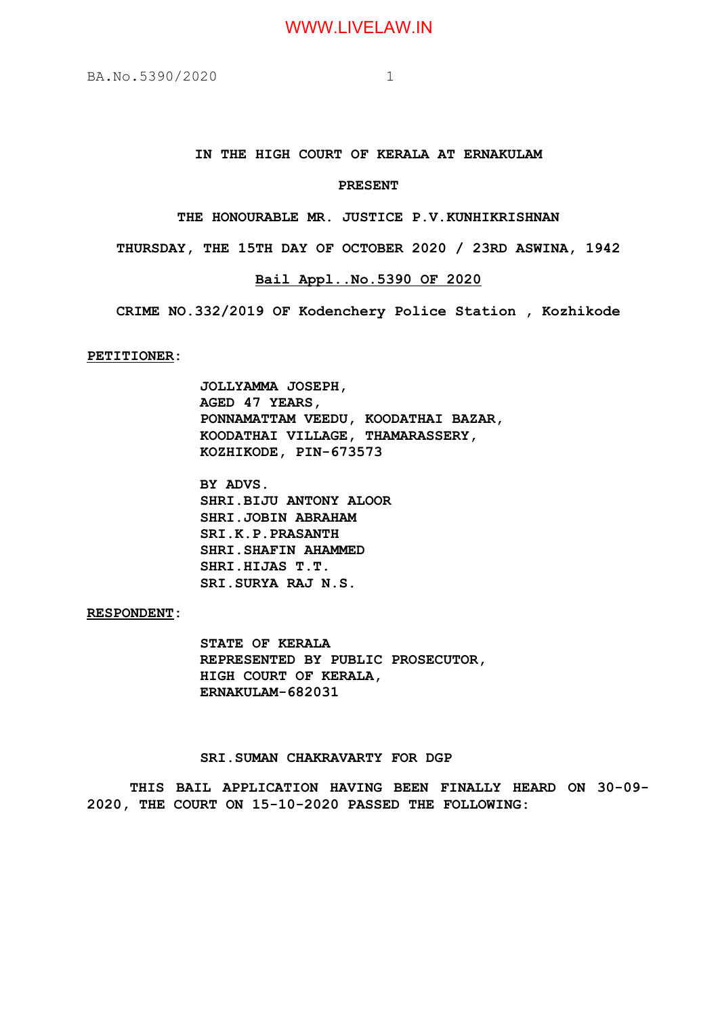## **IN THE HIGH COURT OF KERALA AT ERNAKULAM**

#### **PRESENT**

**THE HONOURABLE MR. JUSTICE P.V.KUNHIKRISHNAN**

**THURSDAY, THE 15TH DAY OF OCTOBER 2020 / 23RD ASWINA, 1942**

#### **Bail Appl..No.5390 OF 2020**

**CRIME NO.332/2019 OF Kodenchery Police Station , Kozhikode**

**PETITIONER:**

**JOLLYAMMA JOSEPH, AGED 47 YEARS, PONNAMATTAM VEEDU, KOODATHAI BAZAR, KOODATHAI VILLAGE, THAMARASSERY, KOZHIKODE, PIN-673573**

**BY ADVS. SHRI.BIJU ANTONY ALOOR SHRI.JOBIN ABRAHAM SRI.K.P.PRASANTH SHRI.SHAFIN AHAMMED SHRI.HIJAS T.T. SRI.SURYA RAJ N.S.**

### **RESPONDENT:**

**STATE OF KERALA REPRESENTED BY PUBLIC PROSECUTOR, HIGH COURT OF KERALA, ERNAKULAM-682031**

#### **SRI.SUMAN CHAKRAVARTY FOR DGP**

**THIS BAIL APPLICATION HAVING BEEN FINALLY HEARD ON 30-09- 2020, THE COURT ON 15-10-2020 PASSED THE FOLLOWING:**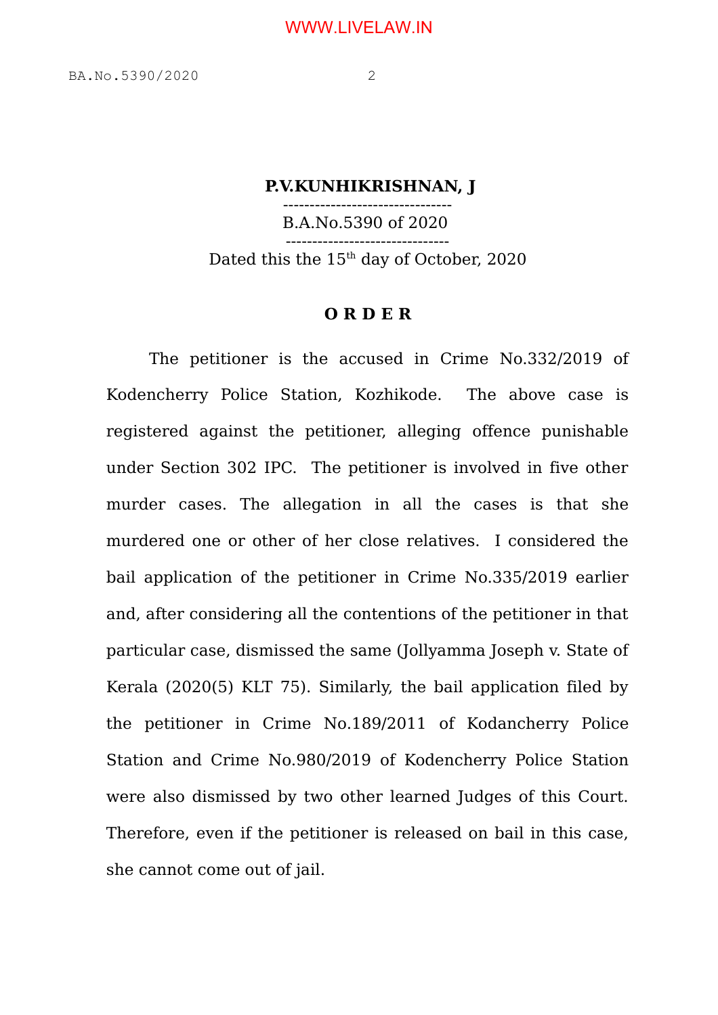## **P.V.KUNHIKRISHNAN, J**

-------------------------------- B.A.No.5390 of 2020 ------------------------------- Dated this the  $15<sup>th</sup>$  day of October, 2020

## **O R D E R**

The petitioner is the accused in Crime No.332/2019 of Kodencherry Police Station, Kozhikode. The above case is registered against the petitioner, alleging offence punishable under Section 302 IPC. The petitioner is involved in five other murder cases. The allegation in all the cases is that she murdered one or other of her close relatives. I considered the bail application of the petitioner in Crime No.335/2019 earlier and, after considering all the contentions of the petitioner in that particular case, dismissed the same (Jollyamma Joseph v. State of Kerala (2020(5) KLT 75). Similarly, the bail application filed by the petitioner in Crime No.189/2011 of Kodancherry Police Station and Crime No.980/2019 of Kodencherry Police Station were also dismissed by two other learned Judges of this Court. Therefore, even if the petitioner is released on bail in this case, she cannot come out of jail.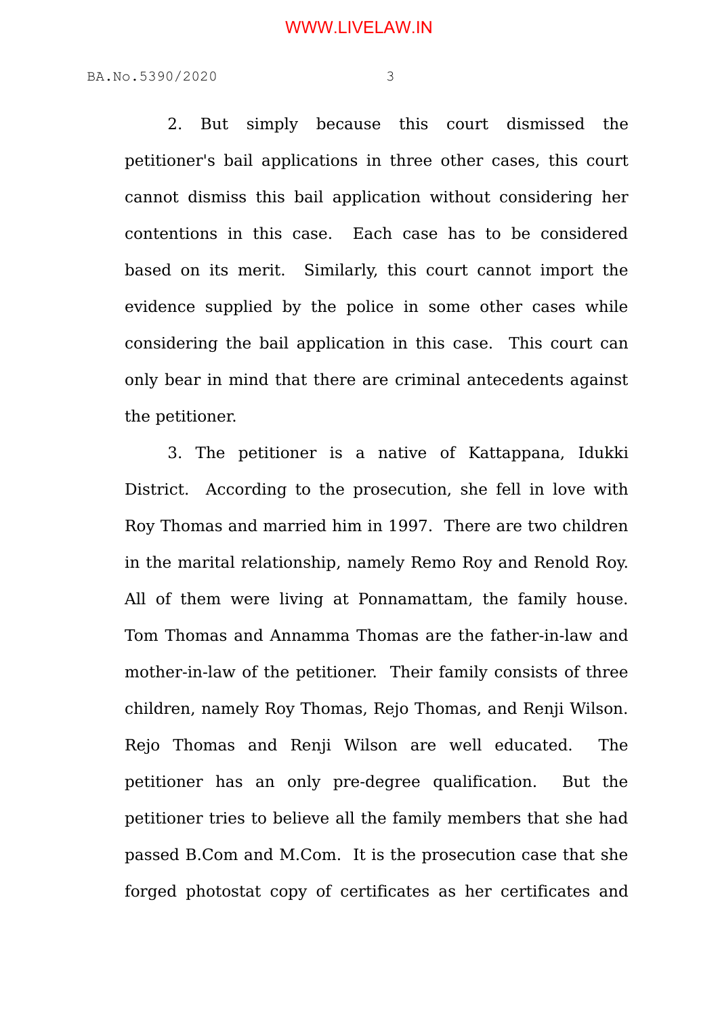2. But simply because this court dismissed the petitioner's bail applications in three other cases, this court cannot dismiss this bail application without considering her contentions in this case. Each case has to be considered based on its merit. Similarly, this court cannot import the evidence supplied by the police in some other cases while considering the bail application in this case. This court can only bear in mind that there are criminal antecedents against the petitioner.

3. The petitioner is a native of Kattappana, Idukki District. According to the prosecution, she fell in love with Roy Thomas and married him in 1997. There are two children in the marital relationship, namely Remo Roy and Renold Roy. All of them were living at Ponnamattam, the family house. Tom Thomas and Annamma Thomas are the father-in-law and mother-in-law of the petitioner. Their family consists of three children, namely Roy Thomas, Rejo Thomas, and Renji Wilson. Rejo Thomas and Renji Wilson are well educated. The petitioner has an only pre-degree qualification. But the petitioner tries to believe all the family members that she had passed B.Com and M.Com. It is the prosecution case that she forged photostat copy of certificates as her certificates and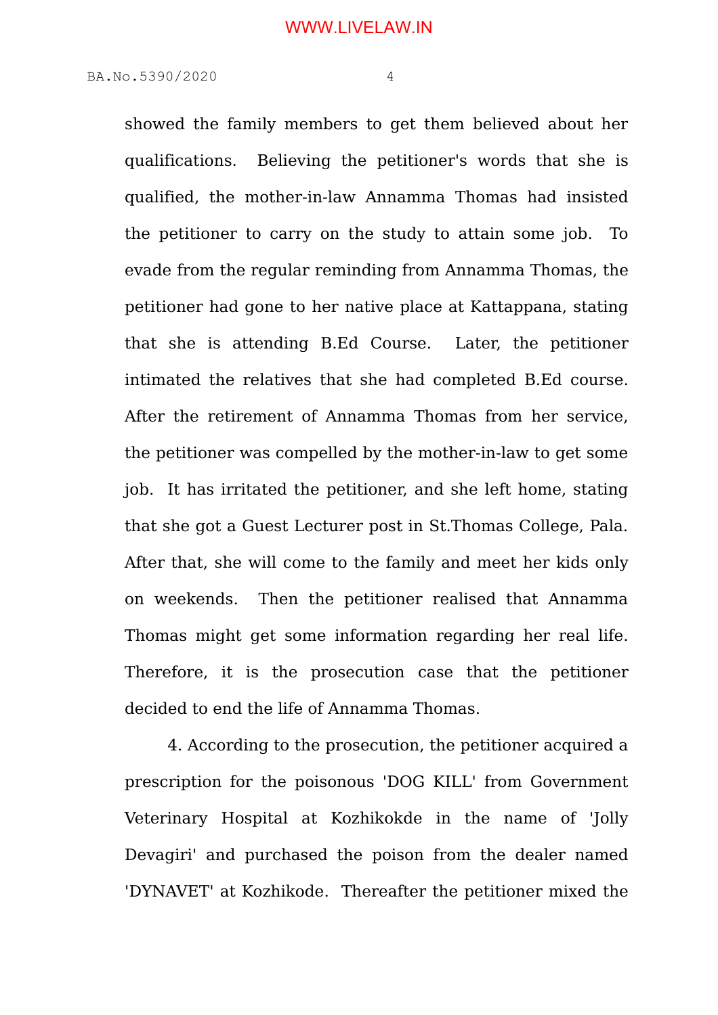showed the family members to get them believed about her qualifications. Believing the petitioner's words that she is qualified, the mother-in-law Annamma Thomas had insisted the petitioner to carry on the study to attain some job. To evade from the regular reminding from Annamma Thomas, the petitioner had gone to her native place at Kattappana, stating that she is attending B.Ed Course. Later, the petitioner intimated the relatives that she had completed B.Ed course. After the retirement of Annamma Thomas from her service, the petitioner was compelled by the mother-in-law to get some job. It has irritated the petitioner, and she left home, stating that she got a Guest Lecturer post in St.Thomas College, Pala. After that, she will come to the family and meet her kids only on weekends. Then the petitioner realised that Annamma Thomas might get some information regarding her real life. Therefore, it is the prosecution case that the petitioner decided to end the life of Annamma Thomas.

4. According to the prosecution, the petitioner acquired a prescription for the poisonous 'DOG KILL' from Government Veterinary Hospital at Kozhikokde in the name of 'Jolly Devagiri' and purchased the poison from the dealer named 'DYNAVET' at Kozhikode. Thereafter the petitioner mixed the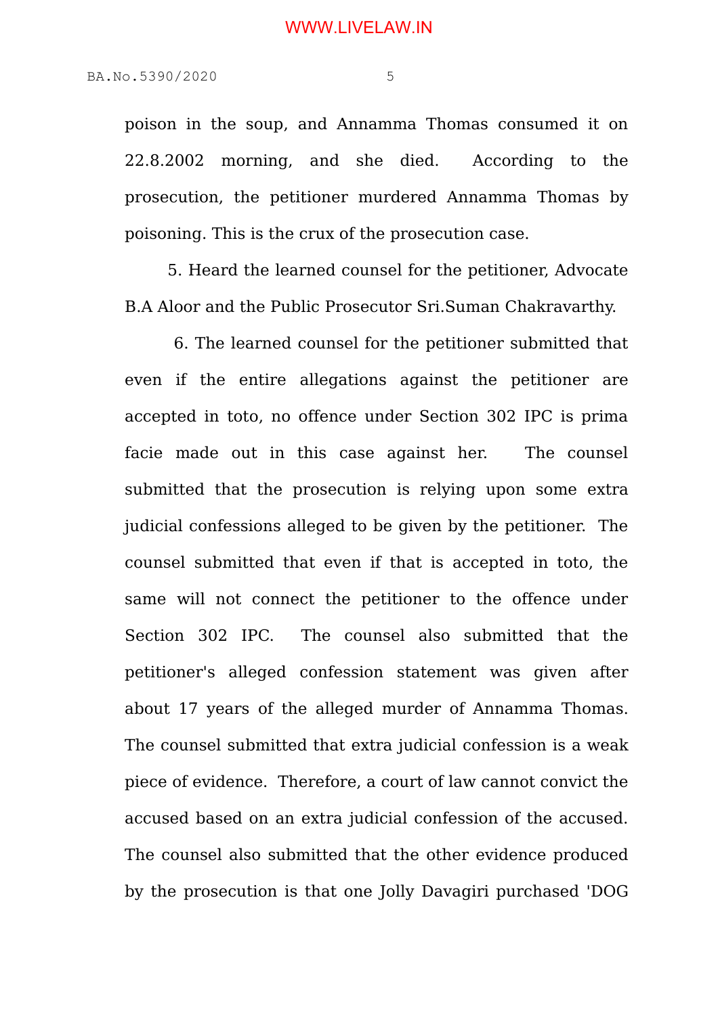poison in the soup, and Annamma Thomas consumed it on 22.8.2002 morning, and she died. According to the prosecution, the petitioner murdered Annamma Thomas by poisoning. This is the crux of the prosecution case.

5. Heard the learned counsel for the petitioner, Advocate B.A Aloor and the Public Prosecutor Sri.Suman Chakravarthy.

 6. The learned counsel for the petitioner submitted that even if the entire allegations against the petitioner are accepted in toto, no offence under Section 302 IPC is prima facie made out in this case against her. The counsel submitted that the prosecution is relying upon some extra judicial confessions alleged to be given by the petitioner. The counsel submitted that even if that is accepted in toto, the same will not connect the petitioner to the offence under Section 302 IPC. The counsel also submitted that the petitioner's alleged confession statement was given after about 17 years of the alleged murder of Annamma Thomas. The counsel submitted that extra judicial confession is a weak piece of evidence. Therefore, a court of law cannot convict the accused based on an extra judicial confession of the accused. The counsel also submitted that the other evidence produced by the prosecution is that one Jolly Davagiri purchased 'DOG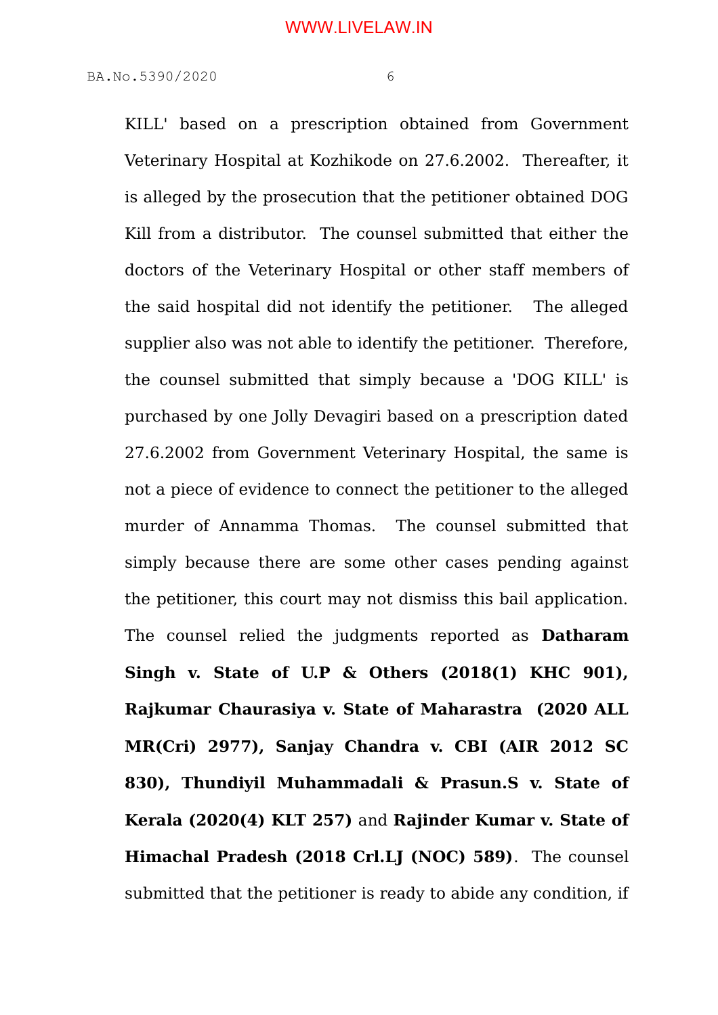KILL' based on a prescription obtained from Government Veterinary Hospital at Kozhikode on 27.6.2002. Thereafter, it is alleged by the prosecution that the petitioner obtained DOG Kill from a distributor. The counsel submitted that either the doctors of the Veterinary Hospital or other staff members of the said hospital did not identify the petitioner. The alleged supplier also was not able to identify the petitioner. Therefore, the counsel submitted that simply because a 'DOG KILL' is purchased by one Jolly Devagiri based on a prescription dated 27.6.2002 from Government Veterinary Hospital, the same is not a piece of evidence to connect the petitioner to the alleged murder of Annamma Thomas. The counsel submitted that simply because there are some other cases pending against the petitioner, this court may not dismiss this bail application. The counsel relied the judgments reported as **Datharam Singh v. State of U.P & Others (2018(1) KHC 901), Rajkumar Chaurasiya v. State of Maharastra (2020 ALL MR(Cri) 2977), Sanjay Chandra v. CBI (AIR 2012 SC 830), Thundiyil Muhammadali & Prasun.S v. State of Kerala (2020(4) KLT 257)** and **Rajinder Kumar v. State of Himachal Pradesh (2018 Crl.LJ (NOC) 589)**. The counsel submitted that the petitioner is ready to abide any condition, if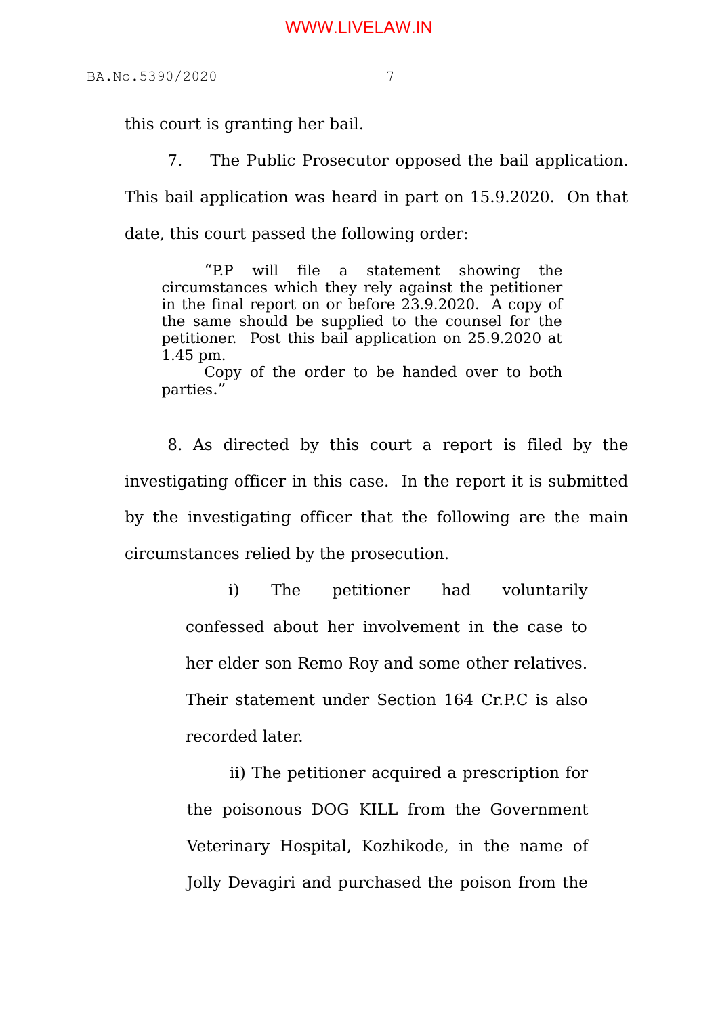this court is granting her bail.

7. The Public Prosecutor opposed the bail application. This bail application was heard in part on 15.9.2020. On that date, this court passed the following order:

"P.P will file a statement showing the circumstances which they rely against the petitioner in the final report on or before 23.9.2020. A copy of the same should be supplied to the counsel for the petitioner. Post this bail application on 25.9.2020 at 1.45 pm.

Copy of the order to be handed over to both parties."

8. As directed by this court a report is filed by the investigating officer in this case. In the report it is submitted by the investigating officer that the following are the main circumstances relied by the prosecution.

> i) The petitioner had voluntarily confessed about her involvement in the case to her elder son Remo Roy and some other relatives. Their statement under Section 164 Cr.P.C is also recorded later.

> ii) The petitioner acquired a prescription for the poisonous DOG KILL from the Government Veterinary Hospital, Kozhikode, in the name of Jolly Devagiri and purchased the poison from the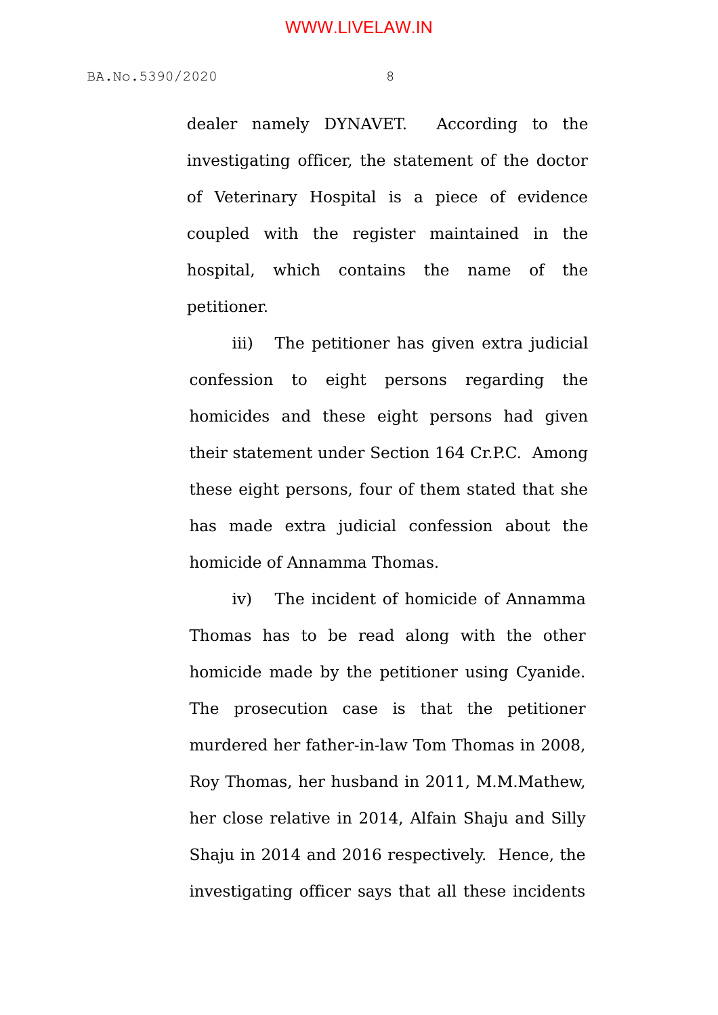dealer namely DYNAVET. According to the investigating officer, the statement of the doctor of Veterinary Hospital is a piece of evidence coupled with the register maintained in the hospital, which contains the name of the petitioner.

iii) The petitioner has given extra judicial confession to eight persons regarding the homicides and these eight persons had given their statement under Section 164 Cr.P.C. Among these eight persons, four of them stated that she has made extra judicial confession about the homicide of Annamma Thomas.

iv) The incident of homicide of Annamma Thomas has to be read along with the other homicide made by the petitioner using Cyanide. The prosecution case is that the petitioner murdered her father-in-law Tom Thomas in 2008, Roy Thomas, her husband in 2011, M.M.Mathew, her close relative in 2014, Alfain Shaju and Silly Shaju in 2014 and 2016 respectively. Hence, the investigating officer says that all these incidents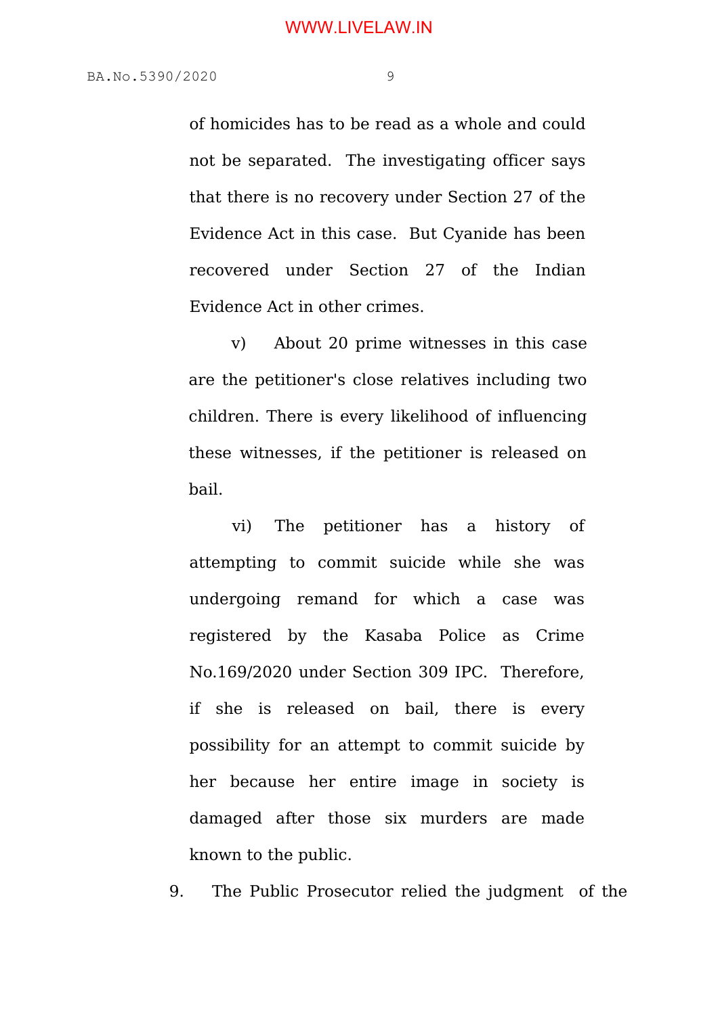of homicides has to be read as a whole and could not be separated. The investigating officer says that there is no recovery under Section 27 of the Evidence Act in this case. But Cyanide has been recovered under Section 27 of the Indian Evidence Act in other crimes.

v) About 20 prime witnesses in this case are the petitioner's close relatives including two children. There is every likelihood of influencing these witnesses, if the petitioner is released on bail.

vi) The petitioner has a history of attempting to commit suicide while she was undergoing remand for which a case was registered by the Kasaba Police as Crime No.169/2020 under Section 309 IPC. Therefore, if she is released on bail, there is every possibility for an attempt to commit suicide by her because her entire image in society is damaged after those six murders are made known to the public.

9. The Public Prosecutor relied the judgment of the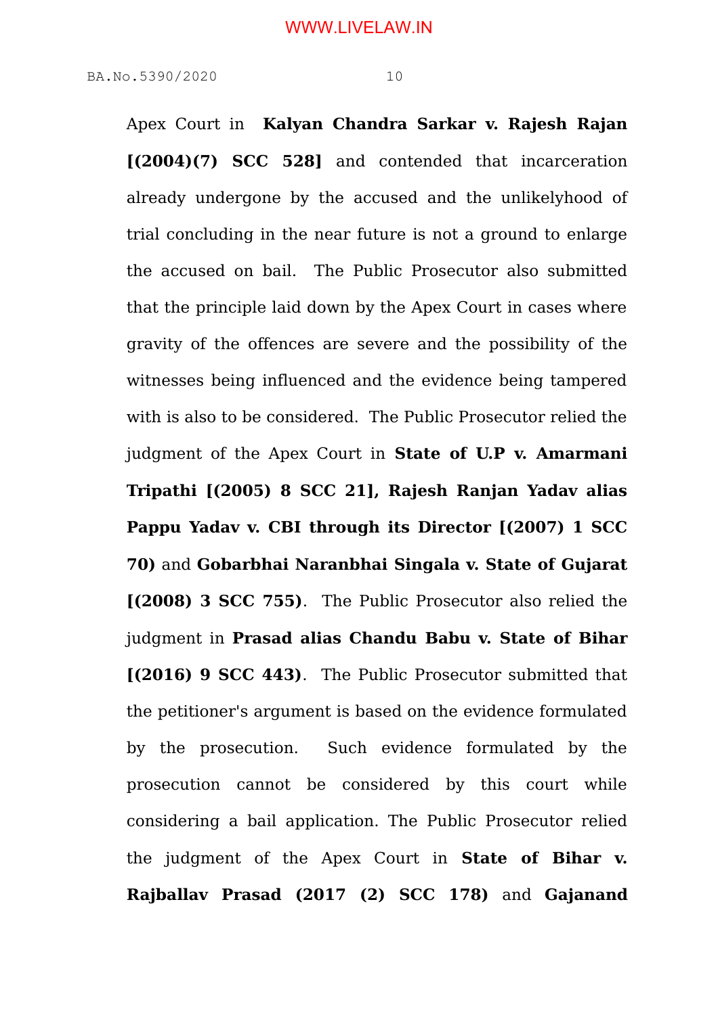Apex Court in **Kalyan Chandra Sarkar v. Rajesh Rajan [(2004)(7) SCC 528]** and contended that incarceration already undergone by the accused and the unlikelyhood of trial concluding in the near future is not a ground to enlarge the accused on bail. The Public Prosecutor also submitted that the principle laid down by the Apex Court in cases where gravity of the offences are severe and the possibility of the witnesses being influenced and the evidence being tampered with is also to be considered. The Public Prosecutor relied the judgment of the Apex Court in **State of U.P v. Amarmani Tripathi [(2005) 8 SCC 21], Rajesh Ranjan Yadav alias Pappu Yadav v. CBI through its Director [(2007) 1 SCC 70)** and **Gobarbhai Naranbhai Singala v. State of Gujarat [(2008) 3 SCC 755)**. The Public Prosecutor also relied the judgment in **Prasad alias Chandu Babu v. State of Bihar [(2016) 9 SCC 443)**. The Public Prosecutor submitted that the petitioner's argument is based on the evidence formulated by the prosecution. Such evidence formulated by the prosecution cannot be considered by this court while considering a bail application. The Public Prosecutor relied the judgment of the Apex Court in **State of Bihar v. Rajballav Prasad (2017 (2) SCC 178)** and **Gajanand**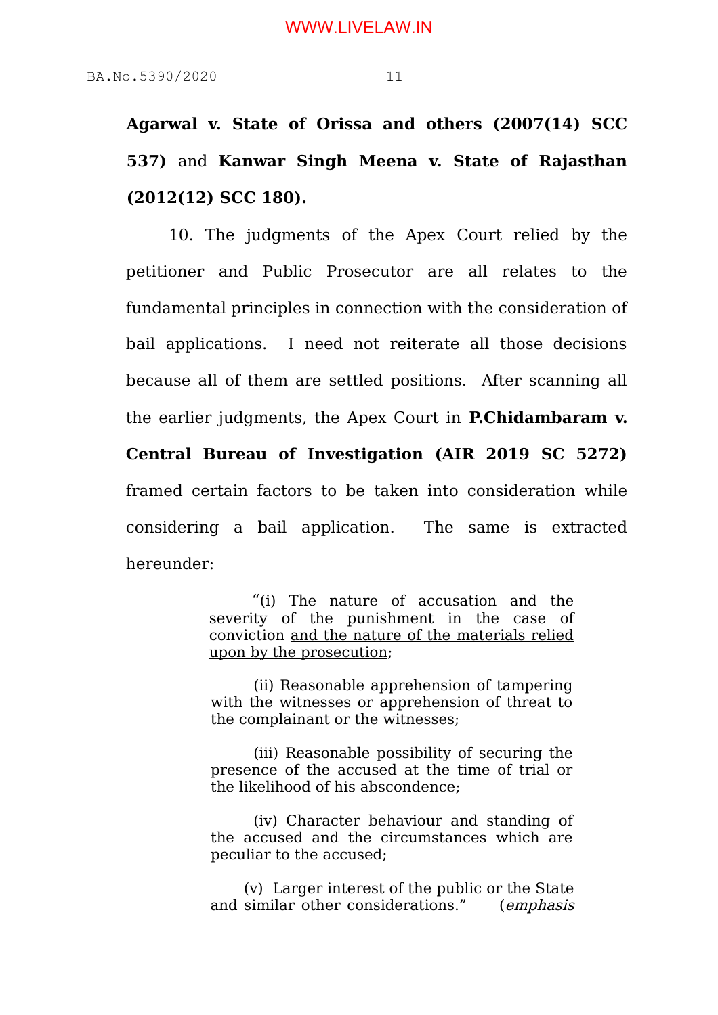**Agarwal v. State of Orissa and others (2007(14) SCC 537)** and **Kanwar Singh Meena v. State of Rajasthan (2012(12) SCC 180).**

10. The judgments of the Apex Court relied by the petitioner and Public Prosecutor are all relates to the fundamental principles in connection with the consideration of bail applications. I need not reiterate all those decisions because all of them are settled positions. After scanning all the earlier judgments, the Apex Court in **P.Chidambaram v.**

**Central Bureau of Investigation (AIR 2019 SC 5272)** framed certain factors to be taken into consideration while considering a bail application. The same is extracted hereunder:

> "(i) The nature of accusation and the severity of the punishment in the case of conviction and the nature of the materials relied upon by the prosecution;

> (ii) Reasonable apprehension of tampering with the witnesses or apprehension of threat to the complainant or the witnesses;

> (iii) Reasonable possibility of securing the presence of the accused at the time of trial or the likelihood of his abscondence;

> (iv) Character behaviour and standing of the accused and the circumstances which are peculiar to the accused;

> (v) Larger interest of the public or the State and similar other considerations." (emphasis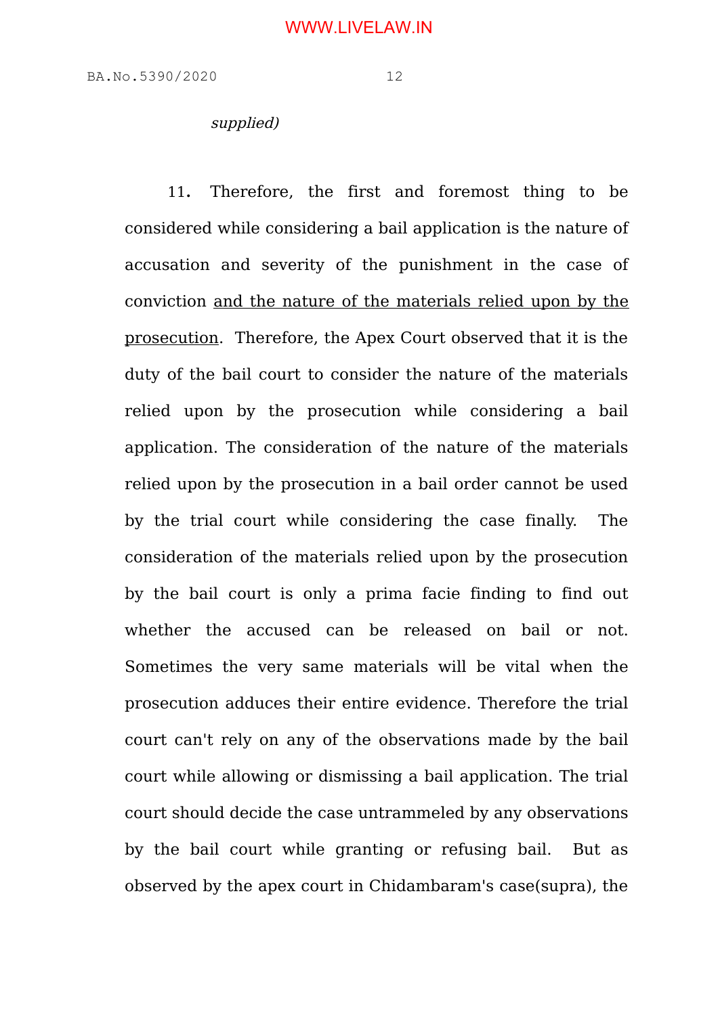## supplied)

11**.** Therefore, the first and foremost thing to be considered while considering a bail application is the nature of accusation and severity of the punishment in the case of conviction and the nature of the materials relied upon by the prosecution. Therefore, the Apex Court observed that it is the duty of the bail court to consider the nature of the materials relied upon by the prosecution while considering a bail application. The consideration of the nature of the materials relied upon by the prosecution in a bail order cannot be used by the trial court while considering the case finally. The consideration of the materials relied upon by the prosecution by the bail court is only a prima facie finding to find out whether the accused can be released on bail or not. Sometimes the very same materials will be vital when the prosecution adduces their entire evidence. Therefore the trial court can't rely on any of the observations made by the bail court while allowing or dismissing a bail application. The trial court should decide the case untrammeled by any observations by the bail court while granting or refusing bail. But as observed by the apex court in Chidambaram's case(supra), the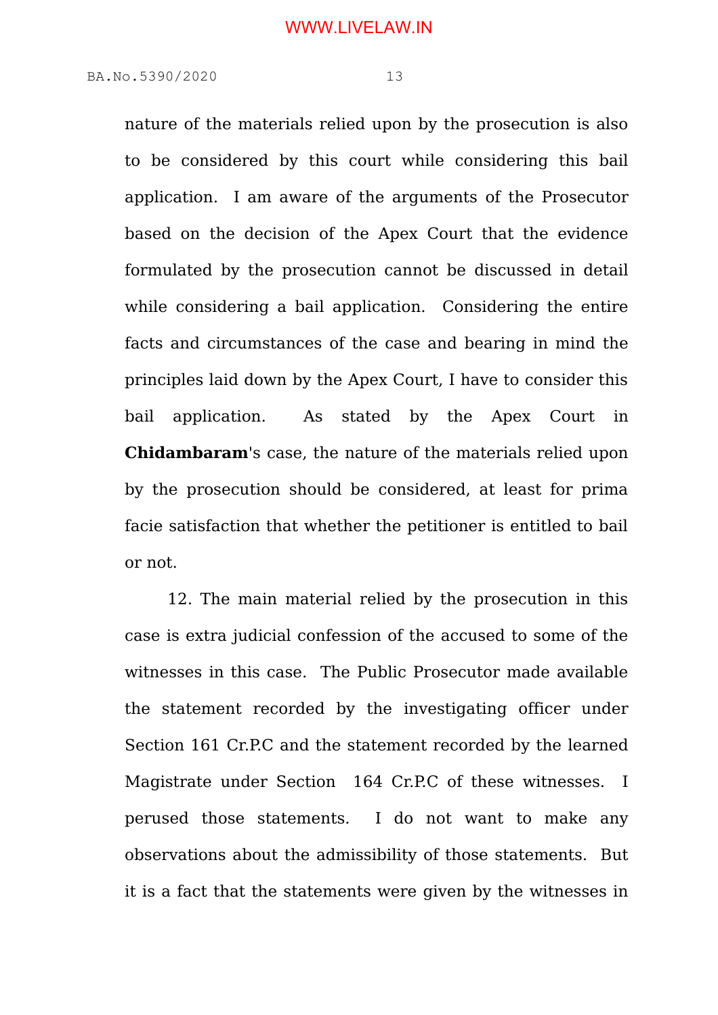nature of the materials relied upon by the prosecution is also to be considered by this court while considering this bail application. I am aware of the arguments of the Prosecutor based on the decision of the Apex Court that the evidence formulated by the prosecution cannot be discussed in detail while considering a bail application. Considering the entire facts and circumstances of the case and bearing in mind the principles laid down by the Apex Court, I have to consider this bail application. As stated by the Apex Court in **Chidambaram**'s case, the nature of the materials relied upon by the prosecution should be considered, at least for prima facie satisfaction that whether the petitioner is entitled to bail or not.

12. The main material relied by the prosecution in this case is extra judicial confession of the accused to some of the witnesses in this case. The Public Prosecutor made available the statement recorded by the investigating officer under Section 161 Cr.P.C and the statement recorded by the learned Magistrate under Section 164 Cr.P.C of these witnesses. I perused those statements. I do not want to make any observations about the admissibility of those statements. But it is a fact that the statements were given by the witnesses in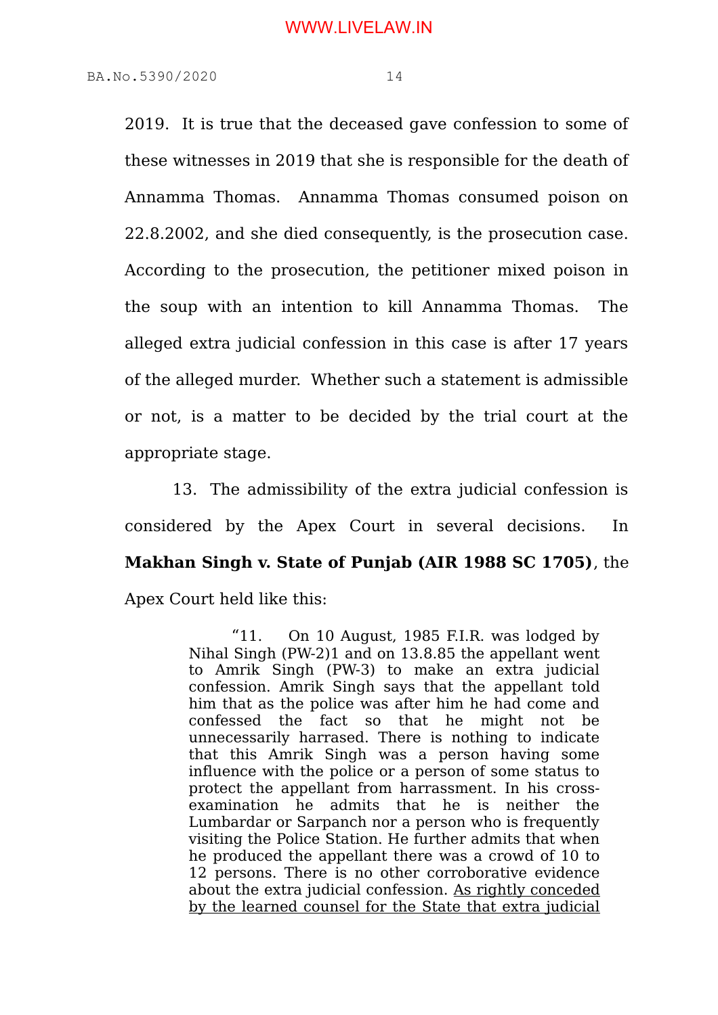2019. It is true that the deceased gave confession to some of these witnesses in 2019 that she is responsible for the death of Annamma Thomas. Annamma Thomas consumed poison on 22.8.2002, and she died consequently, is the prosecution case. According to the prosecution, the petitioner mixed poison in the soup with an intention to kill Annamma Thomas. The alleged extra judicial confession in this case is after 17 years of the alleged murder. Whether such a statement is admissible or not, is a matter to be decided by the trial court at the appropriate stage.

 13. The admissibility of the extra judicial confession is considered by the Apex Court in several decisions. In **Makhan Singh v. State of Punjab (AIR 1988 SC 1705)**, the Apex Court held like this:

> "11. On 10 August, 1985 F.I.R. was lodged by Nihal Singh (PW-2)1 and on 13.8.85 the appellant went to Amrik Singh (PW-3) to make an extra judicial confession. Amrik Singh says that the appellant told him that as the police was after him he had come and confessed the fact so that he might not be unnecessarily harrased. There is nothing to indicate that this Amrik Singh was a person having some influence with the police or a person of some status to protect the appellant from harrassment. In his crossexamination he admits that he is neither the Lumbardar or Sarpanch nor a person who is frequently visiting the Police Station. He further admits that when he produced the appellant there was a crowd of 10 to 12 persons. There is no other corroborative evidence about the extra judicial confession. As rightly conceded by the learned counsel for the State that extra judicial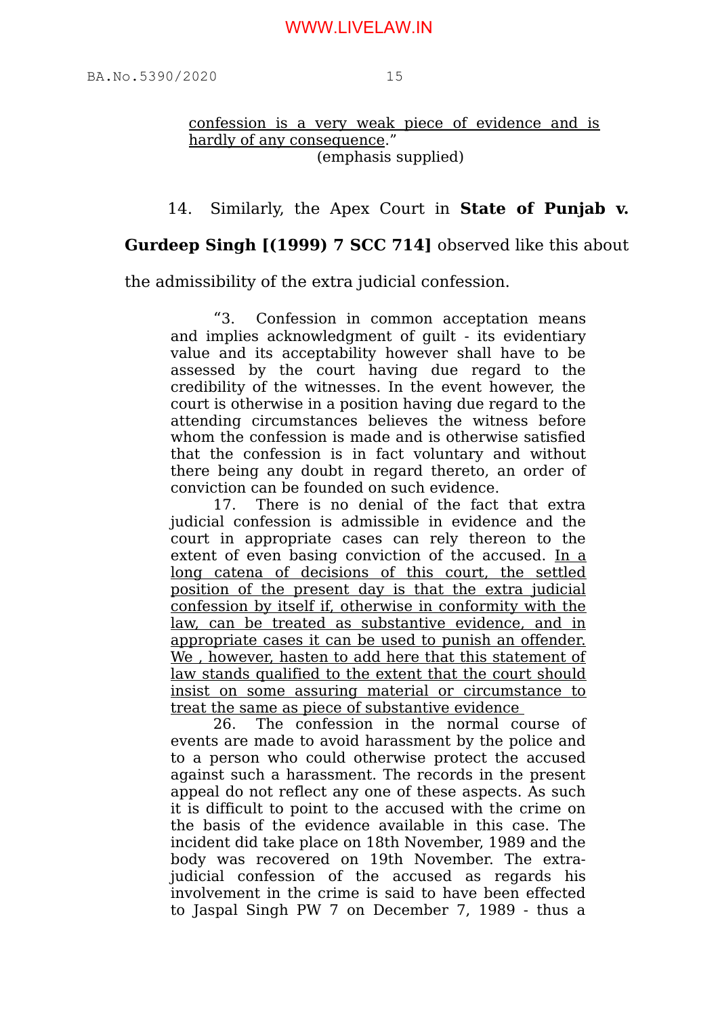confession is a very weak piece of evidence and is hardly of any consequence." (emphasis supplied)

# 14. Similarly, the Apex Court in **State of Punjab v.**

# **Gurdeep Singh [(1999) 7 SCC 714]** observed like this about

the admissibility of the extra judicial confession.

"3. Confession in common acceptation means and implies acknowledgment of guilt - its evidentiary value and its acceptability however shall have to be assessed by the court having due regard to the credibility of the witnesses. In the event however, the court is otherwise in a position having due regard to the attending circumstances believes the witness before whom the confession is made and is otherwise satisfied that the confession is in fact voluntary and without there being any doubt in regard thereto, an order of conviction can be founded on such evidence.

17. There is no denial of the fact that extra judicial confession is admissible in evidence and the court in appropriate cases can rely thereon to the extent of even basing conviction of the accused. In a long catena of decisions of this court, the settled position of the present day is that the extra judicial confession by itself if, otherwise in conformity with the law, can be treated as substantive evidence, and in appropriate cases it can be used to punish an offender. We, however, hasten to add here that this statement of law stands qualified to the extent that the court should insist on some assuring material or circumstance to treat the same as piece of substantive evidence

26. The confession in the normal course of events are made to avoid harassment by the police and to a person who could otherwise protect the accused against such a harassment. The records in the present appeal do not reflect any one of these aspects. As such it is difficult to point to the accused with the crime on the basis of the evidence available in this case. The incident did take place on 18th November, 1989 and the body was recovered on 19th November. The extrajudicial confession of the accused as regards his involvement in the crime is said to have been effected to Jaspal Singh PW 7 on December 7, 1989 - thus a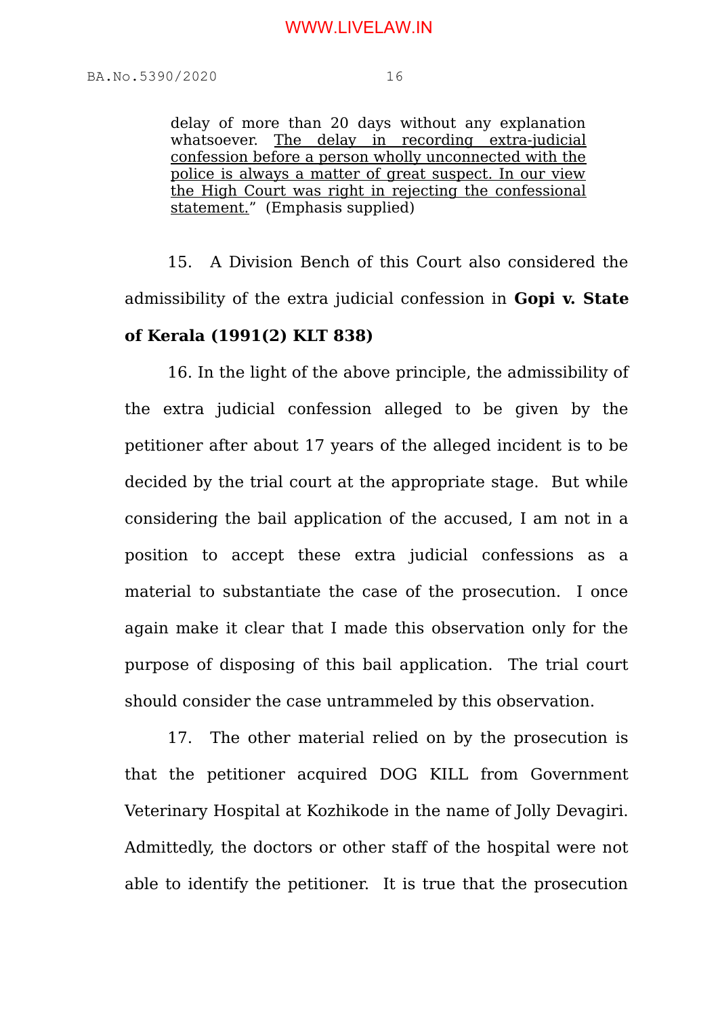delay of more than 20 days without any explanation whatsoever. The delay in recording extra-judicial confession before a person wholly unconnected with the police is always a matter of great suspect. In our view the High Court was right in rejecting the confessional statement." (Emphasis supplied)

15. A Division Bench of this Court also considered the admissibility of the extra judicial confession in **Gopi v. State of Kerala (1991(2) KLT 838)**

16. In the light of the above principle, the admissibility of the extra judicial confession alleged to be given by the petitioner after about 17 years of the alleged incident is to be decided by the trial court at the appropriate stage. But while considering the bail application of the accused, I am not in a position to accept these extra judicial confessions as a material to substantiate the case of the prosecution. I once again make it clear that I made this observation only for the purpose of disposing of this bail application. The trial court should consider the case untrammeled by this observation.

17. The other material relied on by the prosecution is that the petitioner acquired DOG KILL from Government Veterinary Hospital at Kozhikode in the name of Jolly Devagiri. Admittedly, the doctors or other staff of the hospital were not able to identify the petitioner. It is true that the prosecution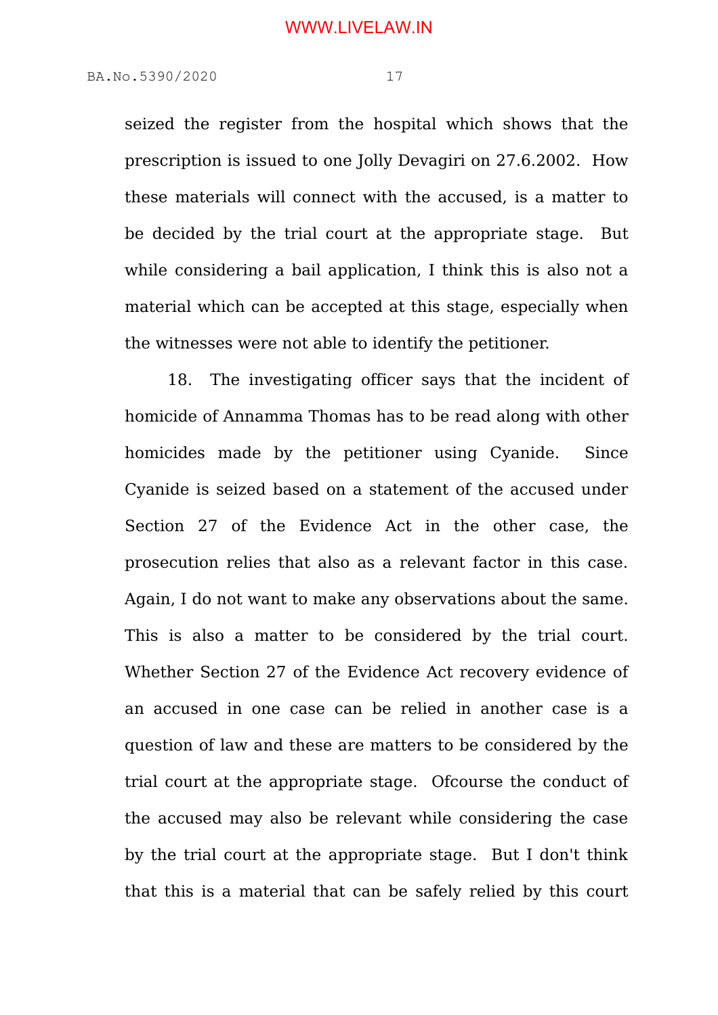seized the register from the hospital which shows that the prescription is issued to one Jolly Devagiri on 27.6.2002. How these materials will connect with the accused, is a matter to be decided by the trial court at the appropriate stage. But while considering a bail application. I think this is also not a material which can be accepted at this stage, especially when the witnesses were not able to identify the petitioner.

18. The investigating officer says that the incident of homicide of Annamma Thomas has to be read along with other homicides made by the petitioner using Cyanide. Since Cyanide is seized based on a statement of the accused under Section 27 of the Evidence Act in the other case, the prosecution relies that also as a relevant factor in this case. Again, I do not want to make any observations about the same. This is also a matter to be considered by the trial court. Whether Section 27 of the Evidence Act recovery evidence of an accused in one case can be relied in another case is a question of law and these are matters to be considered by the trial court at the appropriate stage. Ofcourse the conduct of the accused may also be relevant while considering the case by the trial court at the appropriate stage. But I don't think that this is a material that can be safely relied by this court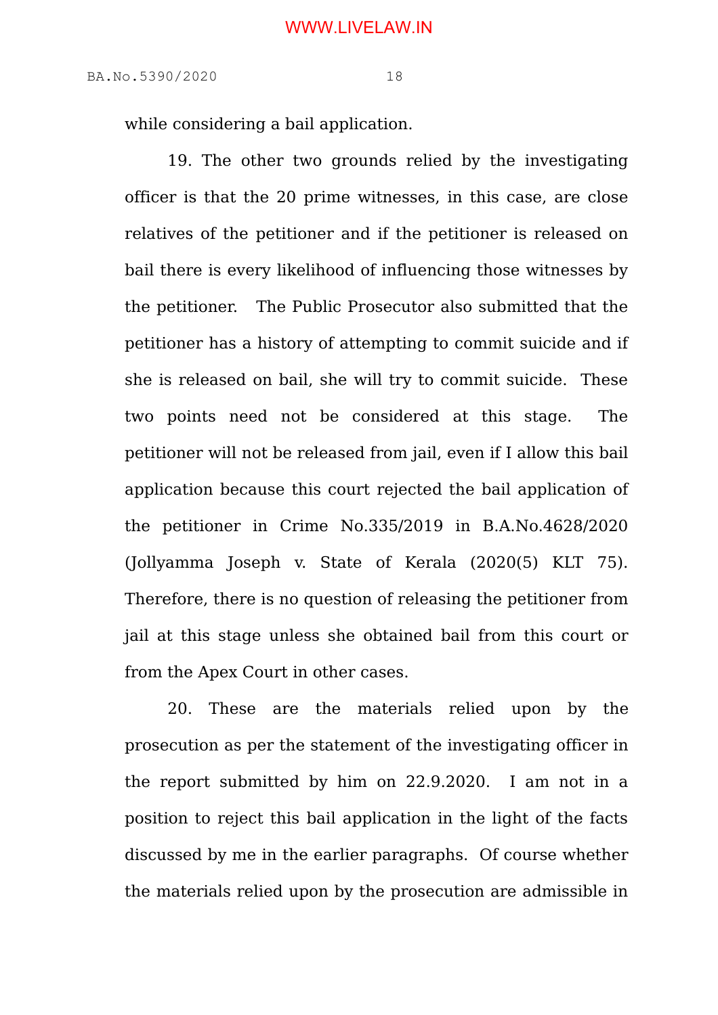while considering a bail application.

19. The other two grounds relied by the investigating officer is that the 20 prime witnesses, in this case, are close relatives of the petitioner and if the petitioner is released on bail there is every likelihood of influencing those witnesses by the petitioner. The Public Prosecutor also submitted that the petitioner has a history of attempting to commit suicide and if she is released on bail, she will try to commit suicide. These two points need not be considered at this stage. The petitioner will not be released from jail, even if I allow this bail application because this court rejected the bail application of the petitioner in Crime No.335/2019 in B.A.No.4628/2020 (Jollyamma Joseph v. State of Kerala (2020(5) KLT 75). Therefore, there is no question of releasing the petitioner from jail at this stage unless she obtained bail from this court or from the Apex Court in other cases.

20. These are the materials relied upon by the prosecution as per the statement of the investigating officer in the report submitted by him on 22.9.2020. I am not in a position to reject this bail application in the light of the facts discussed by me in the earlier paragraphs. Of course whether the materials relied upon by the prosecution are admissible in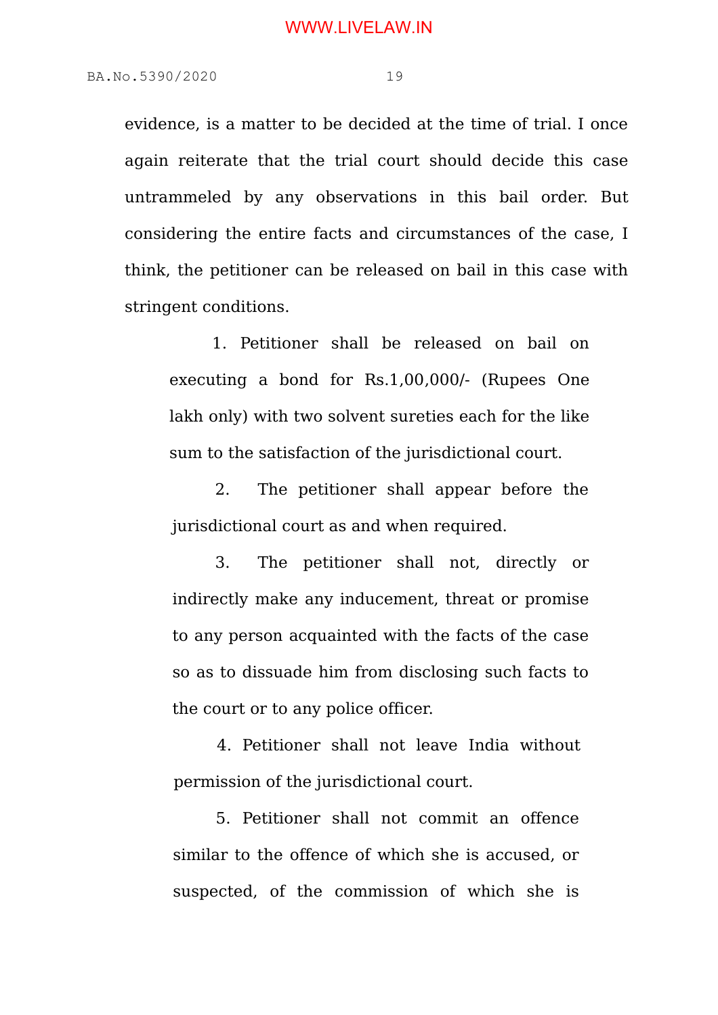evidence, is a matter to be decided at the time of trial. I once again reiterate that the trial court should decide this case untrammeled by any observations in this bail order. But considering the entire facts and circumstances of the case, I think, the petitioner can be released on bail in this case with stringent conditions.

1. Petitioner shall be released on bail on executing a bond for Rs.1,00,000/- (Rupees One lakh only) with two solvent sureties each for the like sum to the satisfaction of the jurisdictional court.

2. The petitioner shall appear before the jurisdictional court as and when required.

3. The petitioner shall not, directly or indirectly make any inducement, threat or promise to any person acquainted with the facts of the case so as to dissuade him from disclosing such facts to the court or to any police officer.

 4. Petitioner shall not leave India without permission of the jurisdictional court.

5. Petitioner shall not commit an offence similar to the offence of which she is accused, or suspected, of the commission of which she is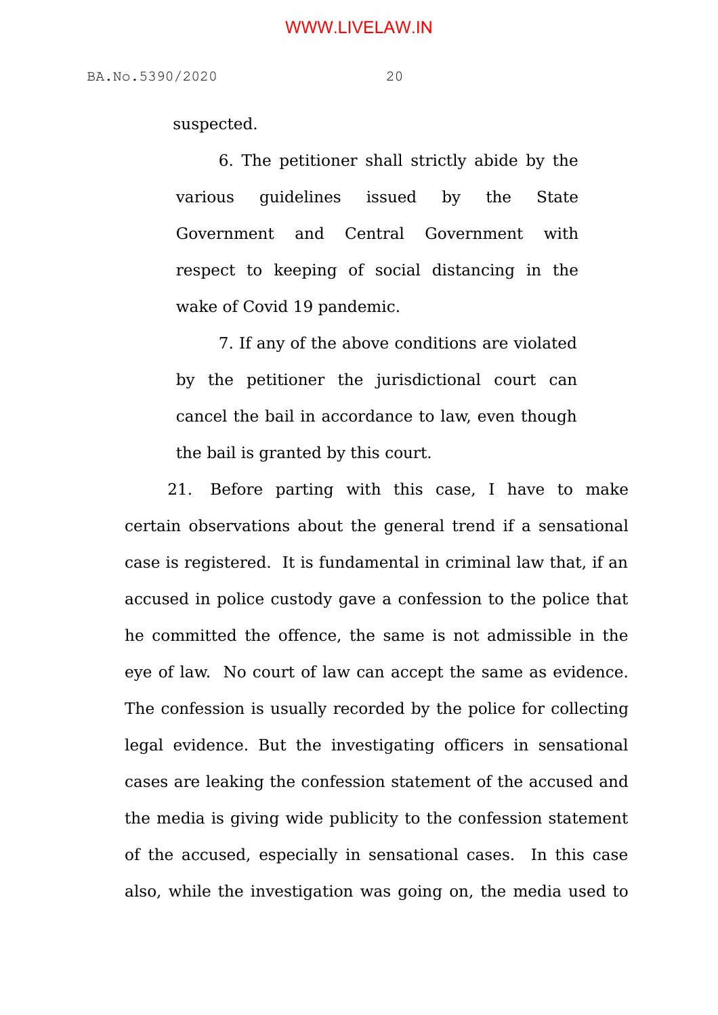suspected.

6. The petitioner shall strictly abide by the various guidelines issued by the State Government and Central Government with respect to keeping of social distancing in the wake of Covid 19 pandemic.

7. If any of the above conditions are violated by the petitioner the jurisdictional court can cancel the bail in accordance to law, even though the bail is granted by this court.

 21. Before parting with this case, I have to make certain observations about the general trend if a sensational case is registered. It is fundamental in criminal law that, if an accused in police custody gave a confession to the police that he committed the offence, the same is not admissible in the eye of law. No court of law can accept the same as evidence. The confession is usually recorded by the police for collecting legal evidence. But the investigating officers in sensational cases are leaking the confession statement of the accused and the media is giving wide publicity to the confession statement of the accused, especially in sensational cases. In this case also, while the investigation was going on, the media used to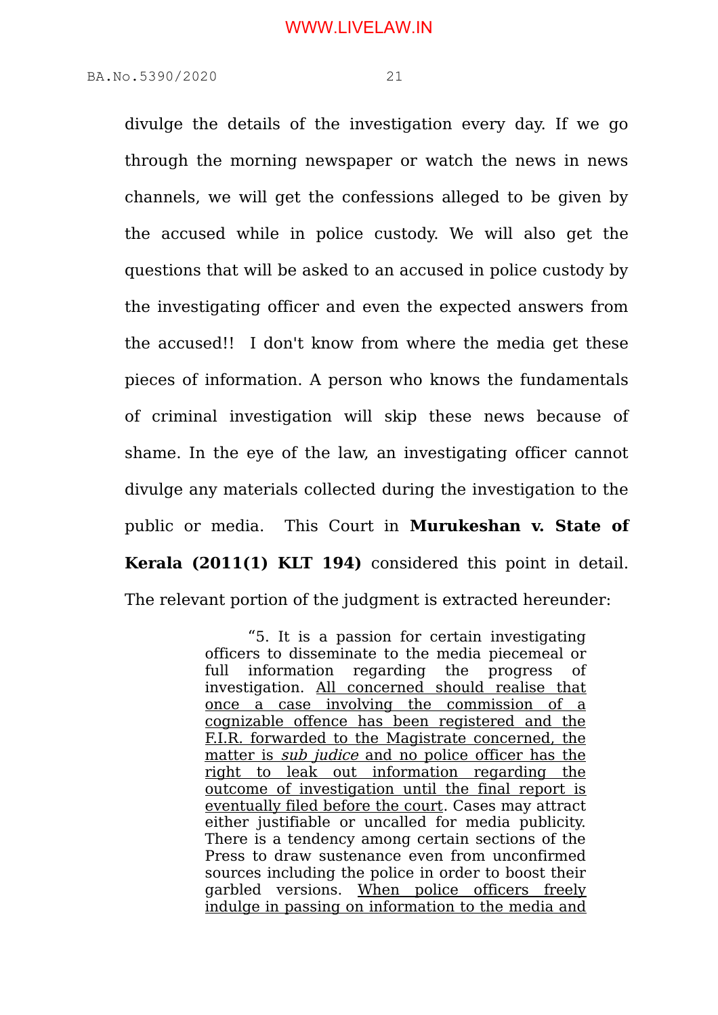divulge the details of the investigation every day. If we go through the morning newspaper or watch the news in news channels, we will get the confessions alleged to be given by the accused while in police custody. We will also get the questions that will be asked to an accused in police custody by the investigating officer and even the expected answers from the accused!! I don't know from where the media get these pieces of information. A person who knows the fundamentals of criminal investigation will skip these news because of shame. In the eye of the law, an investigating officer cannot divulge any materials collected during the investigation to the public or media. This Court in **Murukeshan v. State of Kerala (2011(1) KLT 194)** considered this point in detail. The relevant portion of the judgment is extracted hereunder:

> "5. It is a passion for certain investigating officers to disseminate to the media piecemeal or full information regarding the progress of investigation. All concerned should realise that once a case involving the commission of a cognizable offence has been registered and the F.I.R. forwarded to the Magistrate concerned, the matter is *sub judice* and no police officer has the right to leak out information regarding the outcome of investigation until the final report is eventually filed before the court. Cases may attract either justifiable or uncalled for media publicity. There is a tendency among certain sections of the Press to draw sustenance even from unconfirmed sources including the police in order to boost their garbled versions. When police officers freely indulge in passing on information to the media and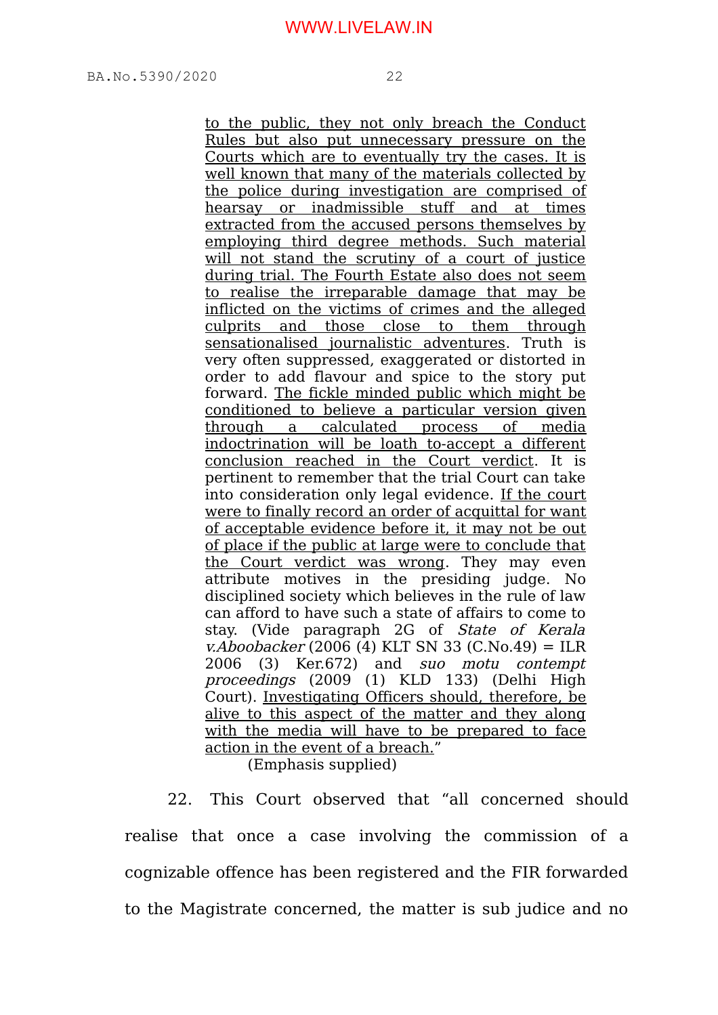to the public, they not only breach the Conduct Rules but also put unnecessary pressure on the Courts which are to eventually try the cases. It is well known that many of the materials collected by the police during investigation are comprised of hearsay or inadmissible stuff and at times extracted from the accused persons themselves by employing third degree methods. Such material will not stand the scrutiny of a court of justice during trial. The Fourth Estate also does not seem to realise the irreparable damage that may be inflicted on the victims of crimes and the alleged culprits and those close to them through sensationalised journalistic adventures. Truth is very often suppressed, exaggerated or distorted in order to add flavour and spice to the story put forward. The fickle minded public which might be conditioned to believe a particular version given through a calculated process of media indoctrination will be loath to-accept a different conclusion reached in the Court verdict. It is pertinent to remember that the trial Court can take into consideration only legal evidence. If the court were to finally record an order of acquittal for want of acceptable evidence before it, it may not be out of place if the public at large were to conclude that the Court verdict was wrong. They may even attribute motives in the presiding judge. No disciplined society which believes in the rule of law can afford to have such a state of affairs to come to stay. (Vide paragraph 2G of State of Kerala v.Aboobacker (2006 (4) KLT SN 33 (C.No.49) = ILR 2006 (3) Ker.672) and suo motu contempt proceedings (2009 (1) KLD 133) (Delhi High Court). Investigating Officers should, therefore, be alive to this aspect of the matter and they along with the media will have to be prepared to face action in the event of a breach."

(Emphasis supplied)

22. This Court observed that "all concerned should realise that once a case involving the commission of a cognizable offence has been registered and the FIR forwarded to the Magistrate concerned, the matter is sub judice and no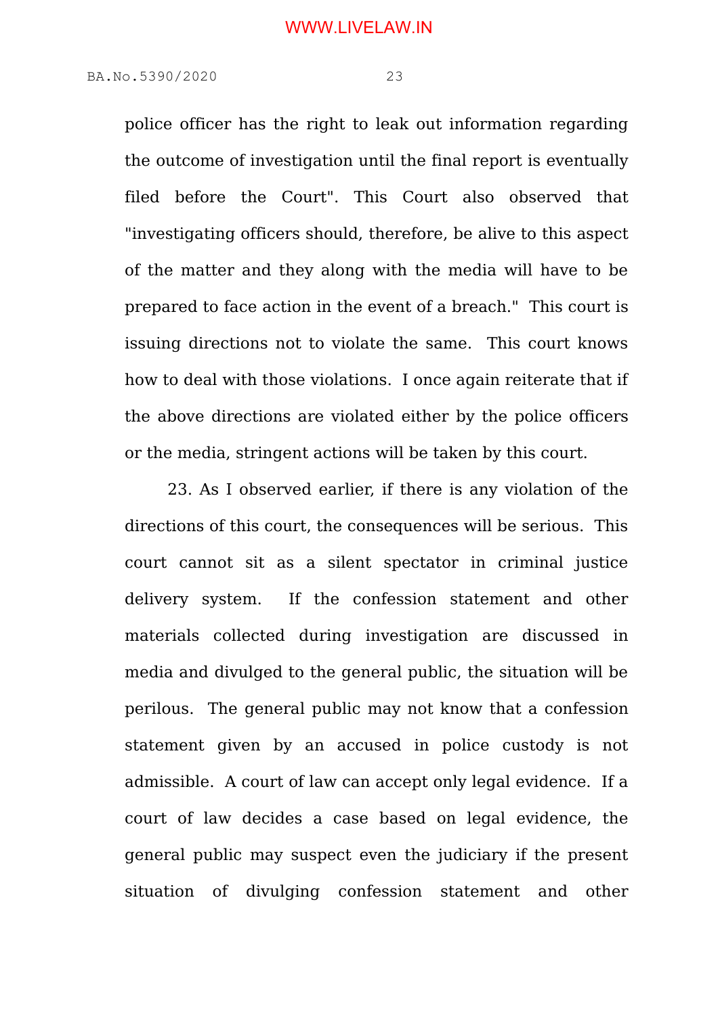police officer has the right to leak out information regarding the outcome of investigation until the final report is eventually filed before the Court". This Court also observed that "investigating officers should, therefore, be alive to this aspect of the matter and they along with the media will have to be prepared to face action in the event of a breach." This court is issuing directions not to violate the same. This court knows how to deal with those violations. I once again reiterate that if the above directions are violated either by the police officers or the media, stringent actions will be taken by this court.

23. As I observed earlier, if there is any violation of the directions of this court, the consequences will be serious. This court cannot sit as a silent spectator in criminal justice delivery system. If the confession statement and other materials collected during investigation are discussed in media and divulged to the general public, the situation will be perilous. The general public may not know that a confession statement given by an accused in police custody is not admissible. A court of law can accept only legal evidence. If a court of law decides a case based on legal evidence, the general public may suspect even the judiciary if the present situation of divulging confession statement and other